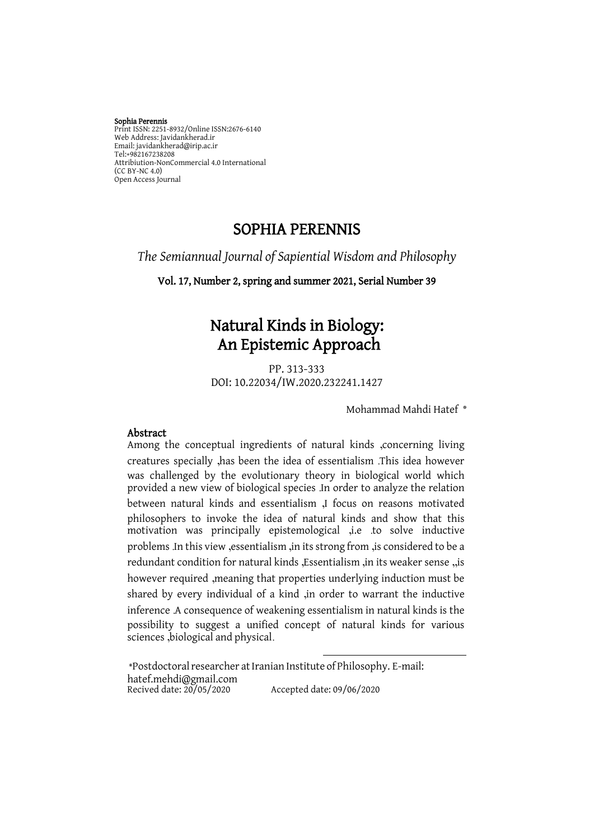#### Sophia Perennis

Print ISSN: 2251-8932/Online ISSN:2676-6140 Web Address: Javidankherad.ir Email[: javidankherad@irip.ac.ir](mailto:javidankherad@irip.ac.ir) [Tel:+982167238208](tel:+982167238208) Attribiution-NonCommercial 4.0 International (CC BY-NC 4.0) Open Access Journal

# SOPHIA PERENNIS

*The Semiannual Journal of Sapiential Wisdom and Philosophy*

Vol. 17, Number 2, spring and summer 2021, Serial Number 39

# Natural Kinds in Biology: An Epistemic Approach

PP. 313-333 DOI: 10.22034/IW.2020.232241.1427

Mohammad Mahdi Hatef **\***

#### Abstract

Among the conceptual ingredients of natural kinds ,concerning living creatures specially ,has been the idea of essentialism .This idea however was challenged by the evolutionary theory in biological world which provided a new view of biological species .In order to analyze the relation between natural kinds and essentialism ,I focus on reasons motivated philosophers to invoke the idea of natural kinds and show that this motivation was principally epistemological ,i.e .to solve inductive problems .In this view ,essentialism ,in its strong from ,is considered to be a redundant condition for natural kinds ,Essentialism ,in its weaker sense ,,is however required ,meaning that properties underlying induction must be shared by every individual of a kind ,in order to warrant the inductive inference .A consequence of weakening essentialism in natural kinds is the possibility to suggest a unified concept of natural kinds for various sciences ,biological and physical.

 $\overline{a}$ 

\*Postdoctoral researcher at Iranian Institute of Philosophy. E-mail: [hatef.mehdi@gmail.com](mailto:hatef.mehdi@gmail.com) Recived date: 20/05/2020 Accepted date: 09/06/2020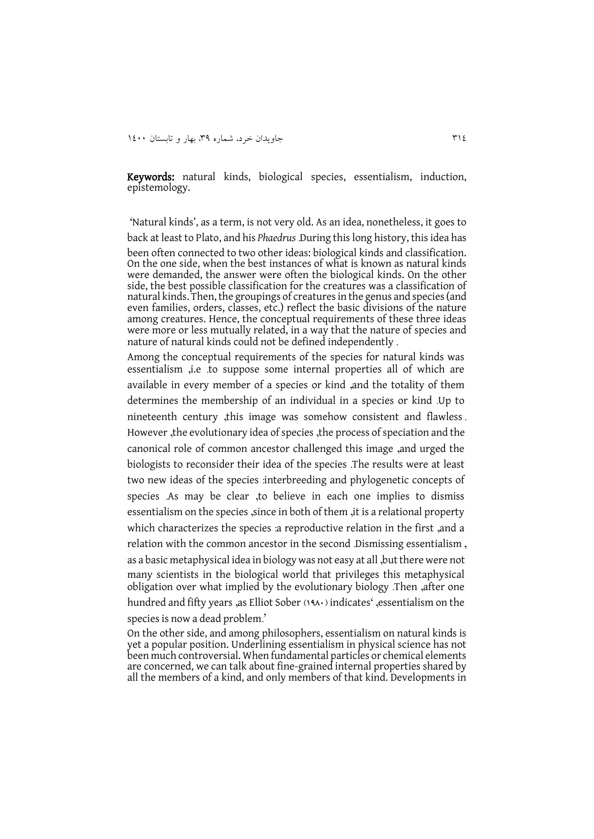Keywords: natural kinds, biological species, essentialism, induction, epistemology.

'Natural kinds', as a term, is not very old. As an idea, nonetheless, it goes to back at least to Plato, and his *Phaedrus* .During this long history, this idea has been often connected to two other ideas: biological kinds and classification. On the one side, when the best instances of what is known as natural kinds were demanded, the answer were often the biological kinds. On the other side, the best possible classification for the creatures was a classification of natural kinds. Then, the groupings of creatures in the genus and species (and even families, orders, classes, etc.) reflect the basic divisions of the nature among creatures. Hence, the conceptual requirements of these three ideas were more or less mutually related, in a way that the nature of species and nature of natural kinds could not be defined independently .

Among the conceptual requirements of the species for natural kinds was essentialism ,i.e .to suppose some internal properties all of which are available in every member of a species or kind ,and the totality of them determines the membership of an individual in a species or kind .Up to nineteenth century ,this image was somehow consistent and flawless . However , the evolutionary idea of species , the process of speciation and the canonical role of common ancestor challenged this image ,and urged the biologists to reconsider their idea of the species .The results were at least two new ideas of the species :interbreeding and phylogenetic concepts of species .As may be clear ,to believe in each one implies to dismiss essentialism on the species , since in both of them , it is a relational property which characterizes the species :a reproductive relation in the first ,and a relation with the common ancestor in the second .Dismissing essentialism , as a basic metaphysical idea in biology was not easy at all ,butthere were not many scientists in the biological world that privileges this metaphysical obligation over what implied by the evolutionary biology .Then ,after one hundred and fifty years ,as Elliot Sober (1941) indicates' ,essentialism on the species is now a dead problem.'

On the other side, and among philosophers, essentialism on natural kinds is yet a popular position. Underlining essentialism in physical science has not been much controversial. When fundamental particles or chemical elements are concerned, we can talk about fine-grained internal properties shared by all the members of a kind, and only members of that kind. Developments in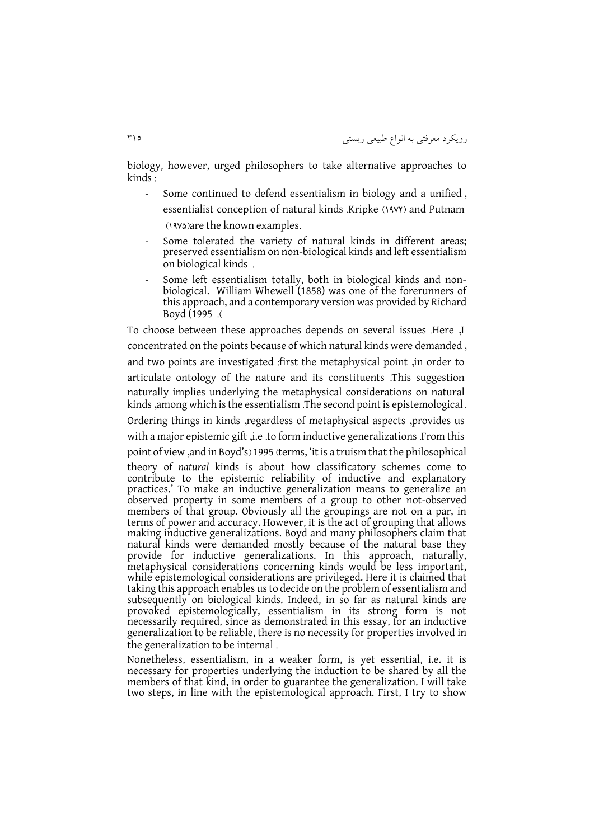biology, however, urged philosophers to take alternative approaches to kinds :

- Some continued to defend essentialism in biology and a unified , essentialist conception of natural kinds .Kripke (1977) and Putnam (1982) (1992) (1994) (1994) set the known examples.
- Some tolerated the variety of natural kinds in different areas; preserved essentialism on non-biological kinds and left essentialism on biological kinds .
- Some left essentialism totally, both in biological kinds and nonbiological. William Whewell (1858) was one of the forerunners of this approach, and a contemporary version was provided by Richard Boyd (1995).

To choose between these approaches depends on several issues .Here ,I concentrated on the points because of which natural kinds were demanded , and two points are investigated :first the metaphysical point ,in order to articulate ontology of the nature and its constituents .This suggestion naturally implies underlying the metaphysical considerations on natural kinds ,among which is the essentialism .The second point is epistemological . Ordering things in kinds ,regardless of metaphysical aspects ,provides us with a major epistemic gift ,i.e .to form inductive generalizations .From this point of view, and in Boyd's) 1995 (terms, 'it is a truism that the philosophical theory of *natural* kinds is about how classificatory schemes come to contribute to the epistemic reliability of inductive and explanatory practices.' To make an inductive generalization means to generalize an observed property in some members of a group to other not-observed members of that group. Obviously all the groupings are not on a par, in terms of power and accuracy. However, it is the act of grouping that allows making inductive generalizations. Boyd and many philosophers claim that natural kinds were demanded mostly because of the natural base they provide for inductive generalizations. In this approach, naturally, metaphysical considerations concerning kinds would be less important, while epistemological considerations are privileged. Here it is claimed that taking this approach enables us to decide on the problem of essentialism and subsequently on biological kinds. Indeed, in so far as natural kinds are provoked epistemologically, essentialism in its strong form is not necessarily required, since as demonstrated in this essay, for an inductive generalization to be reliable, there is no necessity for properties involved in the generalization to be internal .

Nonetheless, essentialism, in a weaker form, is yet essential, i.e. it is necessary for properties underlying the induction to be shared by all the members of that kind, in order to guarantee the generalization. I will take two steps, in line with the epistemological approach. First, I try to show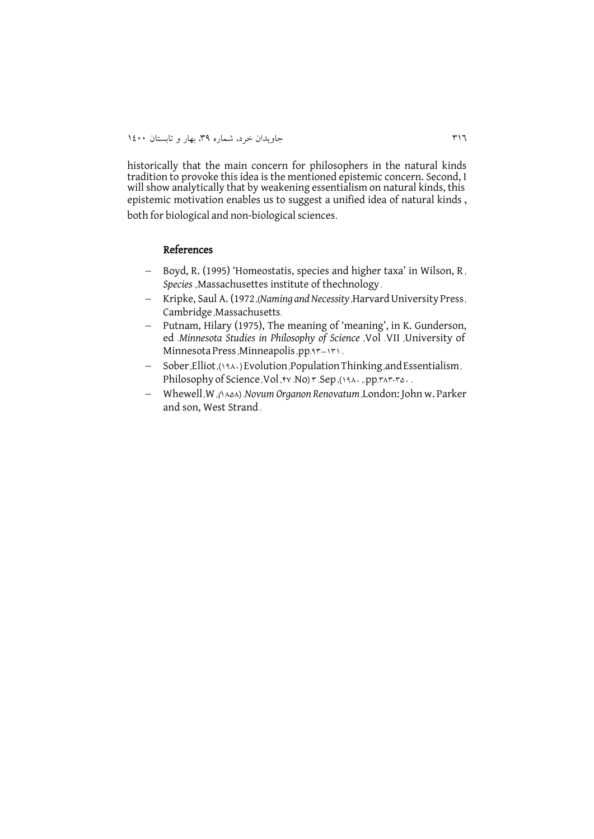historically that the main concern for philosophers in the natural kinds tradition to provoke this idea is the mentioned epistemic concern. Second, I will show analytically that by weakening essentialism on natural kinds, this epistemic motivation enables us to suggest a unified idea of natural kinds ,

both for biological and non-biological sciences.

#### References

- Boyd, R. (1995) 'Homeostatis, species and higher taxa' in Wilson, R, *Species* .,Massachusettes institute of thechnology .
- Kripke, Saul A. (1972, *(Naming and Necessity*, Harvard University Press, Cambridge ,Massachusetts.
- Putnam, Hilary (1975), The meaning of 'meaning', in K. Gunderson, ed .*Minnesota Studies in Philosophy of Science* ,Vol .VII ,University of Minnesota Press, Minneapolis, pp. 35–151.
- Sober ,Elliot ,)1391( Evolution ,PopulationThinking ,andEssentialism , Philosophy of Science , Vol , Av .No  $r$  .Sep ,  $(131.7p)$ . The set of  $351.33p$
- Whewell ,W ,)1959( .*Novum Organon Renovatum* ,London: John w. Parker and son, West Strand .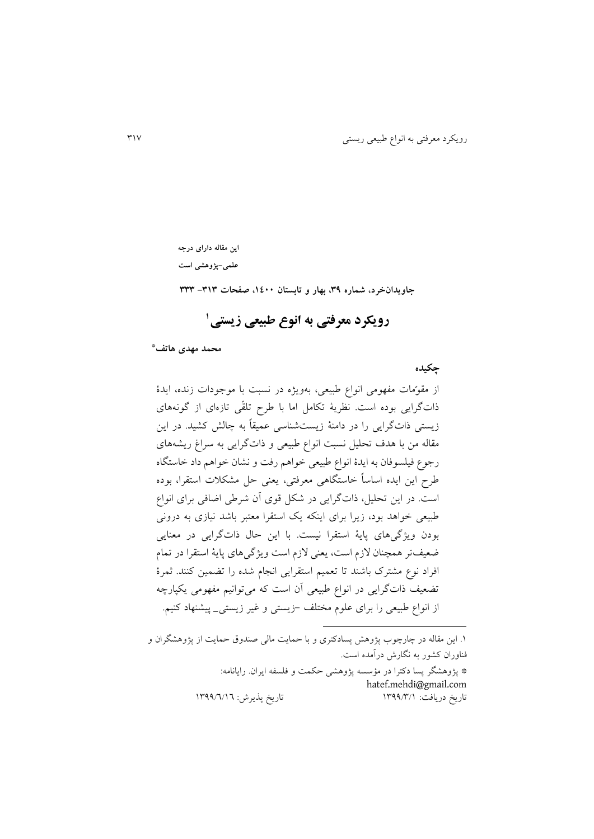**این مقاله دارای درجه** 

**علمی-پژوهشی است**

 **محمد مهدی هاتف \***

 **چکیده**

از مقوّمات مفهومی انواع طبیعی، بهويژه در نسبت با موجودات زنده، ايدۀ ذاتگرايی بوده است. نظريۀ تکامل اما با طرح تلقّی تازهای از گونههای زيستی ذاتگرايی را در دامنۀ زيستشناسی عمیقاً به چالش کشید. در اين مقاله من با هدف تحلیل نسبت انواع طبیعی و ذاتگرايی به سراغ ريشههای رجوع فیلسوفان به ايدۀ انواع طبیعی خواهم رفت و نشان خواهم داد خاستگاه طرح اين ايده اساساً خاستگاهی معرفتی، يعنی حل مشکالت استقرا، بوده است. در اين تحلیل، ذاتگرايی در شکل قوی آن شرطی اضافی برای انواع طبیعی خواهد بود، زيرا برای اينکه يک استقرا معتبر باشد نیازی به درونی بودن ويژگیهای پايۀ استقرا نیست. با اين حال ذاتگرايی در معنايی ضعیفتر همچنان الزم است، يعنی الزم است ويژگیهای پايۀ استقرا در تمام افراد نوع مشترک باشند تا تعمیم استقرايی انجام شده را تضمین کنند. ثمرۀ تضعیف ذاتگرايی در انواع طبیعی آن است که میتوانیم مفهومی يکپارچه از انواع طبیعی را برای علوم مختلف -زيستی و غیر زيستی\_ پیشنهاد کنیم.

**جاویدانخرد، شماره ،93 بهار و تابستان ،0011 صفحات -909 999**

**1 رویکرد معرفتی به انوع طبیعی زیستی**

.1 اين مقاله در چارچوب پژوهش پسادکتری و با حمايت مالی صندوق حمايت از پژوهشگران و فناوران کشور به نگارش درآمده است.

**.** 

\* پژوهشگر پسا دکترا در مؤسسه پژوهشی حکمت و فلسفه ايران. رايانامه: [hatef.mehdi@gmail.com](mailto:hatef.mehdi@gmail.com) تاريخ دريافت: 1433/4/1 تاريخ پذيرش: 1433/3/13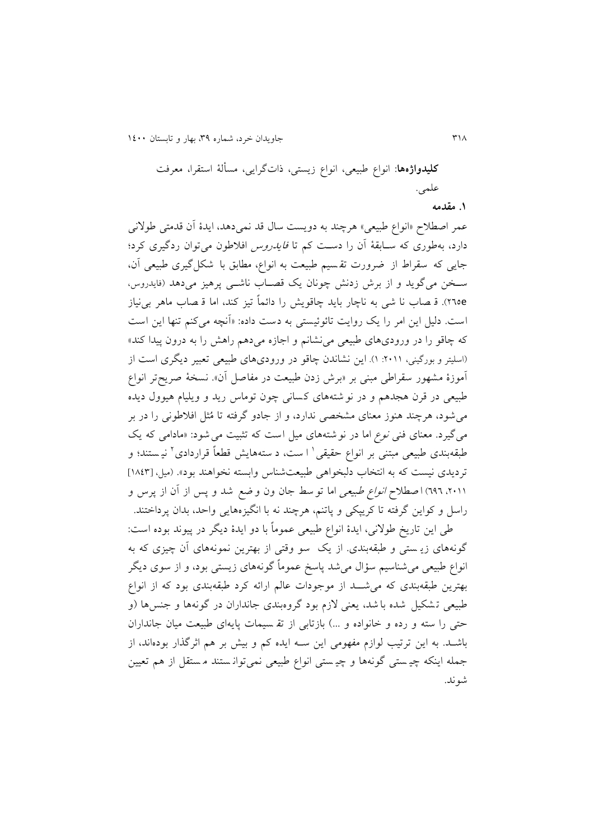413 جاويدان خرد، شماره ،43 بهار و تابستان 1311

**کلیدواژهها**: انواع طبیعی، انواع زيستی، ذاتگرايی، مسألۀ استقرا، معرفت علمی. **.0 مقدمه**

عمر اصطالح »انواع طبیعی« هرچند به دويست سال قد نمیدهد، ايدۀ آن قدمتی طوالنی دارد، بهطوری که سـابقۀ آن را دسـت کم تا *فایدروس* افلاطون میتوان ردگیری کرد؛ جايی که سقراط از ضرورت تق سیم طبیعت به انواع، مطابق با شکل گیری طبیعی آن، سـخن میگويد و از برش زدنش چونان يک قصــاب ناشــی پرهيز میدهد (فايدروس، e533). ق صاب نا شی به ناچار بايد چاقويش را دائماً تیز کند، اما ق صاب ماهر بینیاز است . دلیل اين امر را يک روايت تائوئیستی به دست داده: »آنچه میکنم تنها اين است که چاقو را در ورودیهای طبیعی مینشانم و اجازه میدهم راهش را به درون پیدا کند« )اسلیتر و بورگینی، :5111 1(. اين نشاندن چاقو در ورودیهای طبیعی تعبیر ديگری است از آموزۀ مشهور سقراطی مبنی بر »برش زدن طبیعت در مفاصل آن«. نسخ ۀ صريح تر انواع طبیعی در قرن هجدهم و در نو شته های ک سانی چون توماس ريد و ويلیام هیوول ديده میشود، هرچند هنوز معنای مشخصی ندارد، و از جادو گرفته تا مُثل افالطونی را در بر میگیرد. معنای فنی *نوع* اما در نوشتههای میل است که تثبیت می شود: «مادامی که یک طبقهبندی طبیعی مبتنی بر انواع حقیقی` ا ست، د ستههایش قطعاً قراردادی` نیستند؛ و ترديدی نيست که به انتخاب دلبخواهی طبيعتشناس وابسته نخواهند بود». (میل، [١٨٤٣] ،۲۰۱۱، ۱۹۲) اصطلا*ح انواع طبیعی* اما تو سط جان ون و ضع شد و پس از آن از پرس و راسل و کواين گرفته تا کريپکی و پاتنم، هرچند نه با انگیزههايی واحد، بدان پرداختند.

طی اين تاريخ طوالنی، ايدۀ انواع طبیعی عموماً با دو ايدۀ ديگر در پیوند بوده است : گونههای زي ستی و طبقهبندی. از يک سو وقتی از بهترين نمونههای آن چیزی که به انواع طبیعی میشناسیم سؤال میشد پاسخ عموماً گونههای زيستی بود، و از سوی ديگر بهترين طبقهبندی که می شــد از موجودات عالم ارائه کرد طبقهبندی بود که از انواع طبیعی تـشکیل شده با شد، یعنی لازم بود گروهبندی جانداران در گونهها و جنسها (و حتی را سته و رده و خانواده و ...) بازتابی از تق سیمات پایهای طبیعت میان جانداران باشاد . به اين ترتیب لوازم مفهومی اين ساه ايده کم و بیش بر هم اثرگذار بودهاند، از جمله اینکه چیستی گونهها و چیستی انواع طبیعی نمی توانستند مستقل از هم تعیین شوند.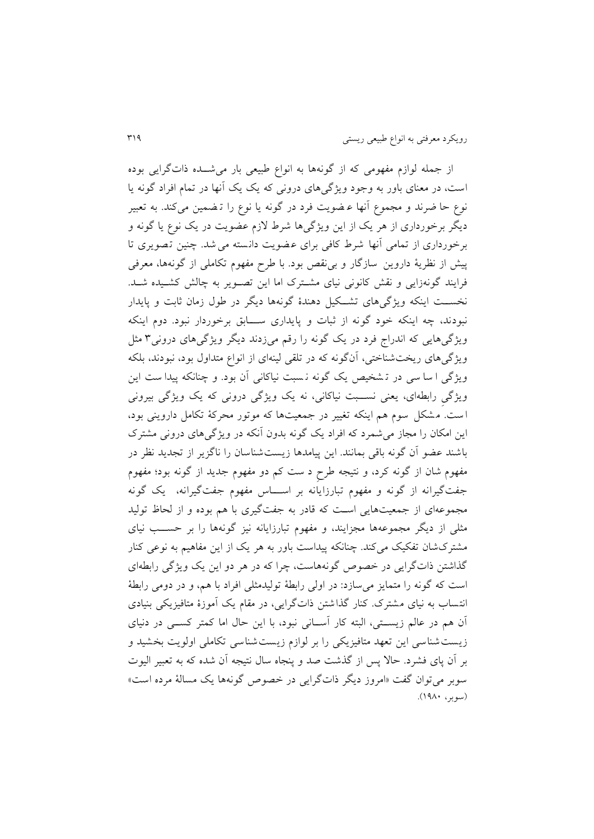از جمله لوازم مفهومی که از گونهها به انواع طبیعی بار می شــده ذاتگرايی بوده است، در معنای باور به وجود ويژگیهای درونی که يک يک آنها در تمام افراد گونه يا نوع حا ضر ند و مجموع آنها ع ضويت فرد در گونه يا نوع را ت ضمین میکند. به تعبیر ديگر برخورداری از هر يک از اين ويژگیها شرط الزم عضويت در يک نوع يا گونه و برخورداری از تمامی آنها شرط کافی برای عضویت دانسته می شد. چنین تصویری تا پیش از نظريۀ داروين سازگار و بینقص بود. با طرح مفهوم تکاملی از گونهها، معرفی فرايند گونهزايی و نقش کانونی نيای مشترک اما اين تصـوير به چالش کشـيده شـد. نخسـت اينکه ويژگیهای تشـكيل دهندۀ گونهها ديگر در طول زمان ثابت و پايدار نبودند، چه اينکه خود گونه از ثبات و پايداری ساااابق برخوردار نبود. دوم اينکه ويژگیهايی که اندراج فرد در يک گونه را رقم میزدند ديگر ويژگیهای درونی4 مثل ويژگیهای ريختشناختی، آنگونه که در تلقی لینهای از انواع متداول بود، نبودند، بلکه ويژگی ا سا سی در ت شخیص يک گونه ن سبت نیاکانی آن بود. و چنانکه پیدا ست اين ويژگی رابطهای، يعنی نســبت نیاکانی، نه يک ويژگی درونی که يک ويژگی بيرونی ا ست . م شکل سوم هم اينکه تغییر در جمعیتها که موتور محرکۀ تکامل داروينی بود، اين امکان را مجاز میشمرد که افراد يک گونه بدون آنکه در ويژگیهای درونی مشترک باشند عضو آن گونه باقی بمانند. اين پیامدها زيست شناسان را ناگزير از تجديد نظر در مفهوم شان از گونه کرد، و نتیجه طرحِ د ست کم دو مفهوم جديد از گونه بود؛ مفهوم جفت گیرانه از گونه و مفهوم تبارزايانه بر اسااااس مفهوم جفت گیرانه، يک گونه مجموعهای از جمعیتهايی اسات که قادر به جفتگیری با هم بوده و از لحاظ تولید مثلی از ديگر مجموعهها مجزايند، و مفهوم تبارزايانه نيز گونهها را بر حســب نيای مشترک شان تفکیک میکند. چنانکه پیداست باور به هر يک از اين مفاهیم به نوعی کنار گذاشتن ذاتگرايی در خصوص گونههاست، چرا که در هر دو اين يک ويژگی رابطهای است که گونه را متمايز میسازد : در اولی رابطۀ تولیدمثلی افراد با هم، و در دومی رابطۀ انتساب به نیای مشترک . کنار گذاشتن ذاتگرايی، در مقام يک آموزۀ متافیزيکی بنیادی آن هم در عالم زيستی، البته کار آسـانی نبود، با اين حال اما کمتر کســی در دنیای زيست شناسی اين تعهد متافیزيکی را بر لوازم زيست شناسی تکاملی اولويت بخشید و بر آن پای فشرد . حاال پس از گذشت صد و پنجاه سال نتیجه آن شده که به تعبیر الیوت سوبر میتوان گفت »امروز ديگر ذاتگرايی در خصوص گونهها يک مسالۀ مرده است « )سوبر، 1331(.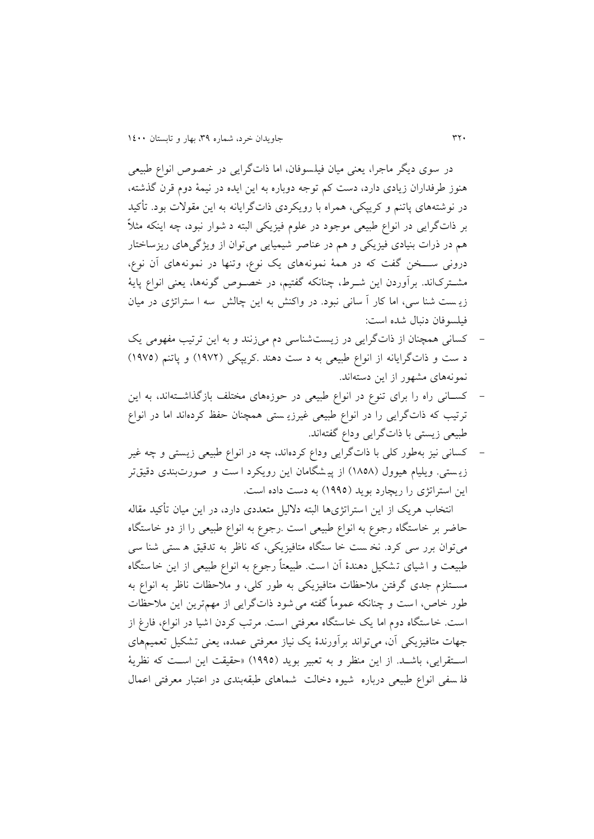در سوی ديگر ماجرا، يعنی میان فیلسوفان، اما ذاتگرايی در خصوص انواع طبیعی هنوز طرفداران زيادی دارد، دست کم توجه دوباره به اين ايده در نیمۀ دوم قرن گذشته، در نوشته های پاتنم و کريپکی، همراه با رويکردی ذاتگرايانه به اين مقوالت بود. تأکید بر ذاتگرايی در انواع طبیعی موجود در علوم فیزيکی البته د شوار نبود، چه اينکه مثالً هم در ذرات بنیادی فیزیکی و هم در عناصر شیمیایی میتوان از ویژگیهای ریزساختار درونی ســخن گفت که در همۀ نمونههای يک نوع، وتنها در نمونههای آن نوع، مشـترکاند. برآوردن اين شـرط، چنانکه گفتيم، در خصـوص گونهها، يعنی انواع پايۀ زي ست شنا سی، اما کار آ سانی نبود. در واکنش به اين چالش سه ا ستراتژی در میان فیلسوفان دنبال شده است:

- کسانی همچنان از ذاتگرايی در زيست شناسی دم میزنند و به اين ترتیب مفهومی يک د ست و ذات گرايانه از انواع طبيعی به د ست دهند .کريپکی (١٩٧٢) و پاتنم (١٩٧٥) نمونههای مشهور از اين دستهاند.
- کسانی راه را برای تنوع در انواع طبیعی در حوزههای مختلف بازگذاشتهاند، به این ترتیب که ذاتگرايی را در انواع طبیعی غیرزي ستی همچنان حفظ کردهاند اما در انواع طبیعی زيستی با ذاتگرايی وداع گفتهاند.
- کسانی نیز بهطور کلی با ذاتگرايی وداع کردهاند، چه در انواع طبیعی زيستی و چه غیر زيستی. ويليام هيوول (١٨٥٨) از پيشگامان اين رويکرد ا ست و صورتبندی دقیقتر اين استراتژی را ريچارد بويد )1333( به دست داده است.

انتخاب هريک از اين استراتژی ها البته داللیل متعددی دارد، در اين میان تأکید مقاله حاضر بر خاستگاه رجوع به انواع طبیعی است .رجوع به انواع طبیعی را از دو خاستگاه میتوان برر سی کرد. نخ ست خا ستگاه متافیزيکی، که ناظر به تدقیق ه ستی شنا سی طبیعت و ا شیای ت شکیل دهندۀ آن ا ست . طبیعتاً رجوع به انواع طبیعی از اين خا ستگاه مساتلزم جدی گرفتن مالحظات متافیزيکی به طور کلی، و مالحظات ناظر به انواع به طور خاص، ا ست و چنانکه عموماً گفته میشود ذاتگرايی از مهمترين اين مالحظات است . خاستگاه دوم اما يک خاستگاه معرفتی است . مرتب کردن اشیا در انواع، فارغ از جهات متافیزيکی آن، میتواند برآورندۀ يک نیاز معرفتی عمده، يعنی تشکیل تعمیمهای استقرايی، باشـد. از اين منظر و به تعبير بويد (١٩٩٥) «حقيقت اين اسـت که نظريۀ فل سفی انواع طبیعی درباره شیوه دخالت شماهای طبقهبندی در اعتبار معرفتی اعمال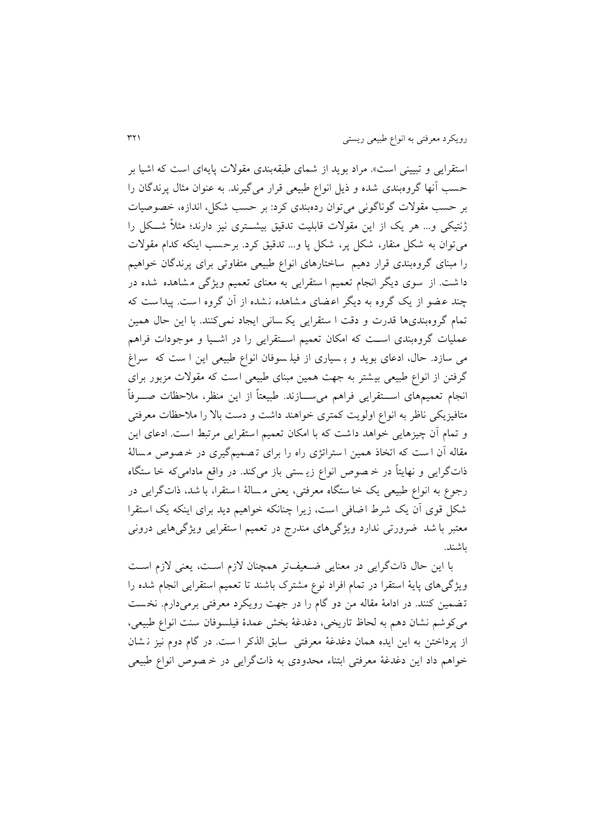استقرايی و تبيينی است». مراد بويد از شمای طبقهبندی مقولات پايهای است که اشيا بر حسب آنها گروهبندی شده و ذيل انواع طبیعی قرار میگیرند. به عنوان مثال پرندگان را بر حسب مقوالت گوناگونی میتوان ردهبندی کرد: بر حسب شکل، اندازه، خصوص یات ژنتیکی و... هر یک از این مقولات قابلیت تدقیق بیشــتری نیز دارند؛ مثلاً شــکل را میتوان به شکل منقار، شکل پر، شکل پا و... تدقیق کرد. برحسب اينکه کدام مقوالت را مبنای گروهبندی قرار دهیم ساختار های انواع طبیعی متفاوتی برای پرندگان خواهیم دا شت . از سوی ديگر انجام تعمیم ا ستقرايی به معنای تعمیم ويژگی م شاهده شده در چند عضو از يک گروه به ديگر اعضای مشاهده نشده از آن گروه است. پيداست که تمام گروهبندیها قدرت و دقت ا ستقرايی يک سانی ايجاد نمیکنند. با اين حال همین عملیات گروهبندی است که امکان تعمیم استقرایی را در اشـیا و موجودات فراهم می سازد . حال، ادعای بويد و ب سیاری از فیل سوفان انواع طبیعی اين ا ست که سراغ گرفتن از انواع طبیعی بیشتر به جهت همین مبنای طبیعی است که مقوالت مزبور برای انجام تعمیمهای اســتقرایی فراهم میســازند. طبیعتاً از این منظر، ملاحظات صـــرفاً متافیزيکی ناظر به انواع اولويت کمتری خواهند داشت و دست باال را مالحظات معرفتی و تمام آن چیزهايی خواهد داشت که با امکان تعمیم استقرايی مرتبط است. ادعای اين مقاله آن ا ست که اتخاذ همین ا ستراتژی راه را برای تصمیم گیری در خصوص مسالهٔ ذاتگرايی و نهايتاً در خ صوص انواع زي ستی باز میکند. در واقع مادامیکه خا ستگاه رجوع به انواع طبیعی يک خا ستگاه معرفتی، يعنی م سالۀ ا ستقرا، با شد، ذاتگرايی در شکل قوی آن يک شرط اضافی است، زيرا چنانکه خواهیم ديد برای اينکه يک است قرا معتبر با شد ضرورتی ندارد ويژگیهای مندرج در تعمیم ا ستقرايی ويژگیهايی درونی باشند.

با اين حال ذاتگرايی در معنايی ضعیفتر همچنان لازم است، يعنی لازم است ويژگیهای پايۀ استقرا در تمام افراد نوع مشترک باشند تا تعمیم استقرايی انجام شده را ت ضمین کنند. در ادامۀ مقاله من دو گام را در جهت رويکرد معرفتی برمیدارم. نخ ست میکوشم نشان دهم به لحاظ تاريخی، دغدغۀ بخش عمدۀ فیلسوفان سنت انواع طبیعی، از پرداختن به اين ايده همان دغدغۀ معرفتی سابق الذکر ا ست . در گام دوم نیز ن شان خواهم داد اين دغدغۀ معرفتی ابتناء محدودی به ذاتگرايی در خ صوص انواع طبیعی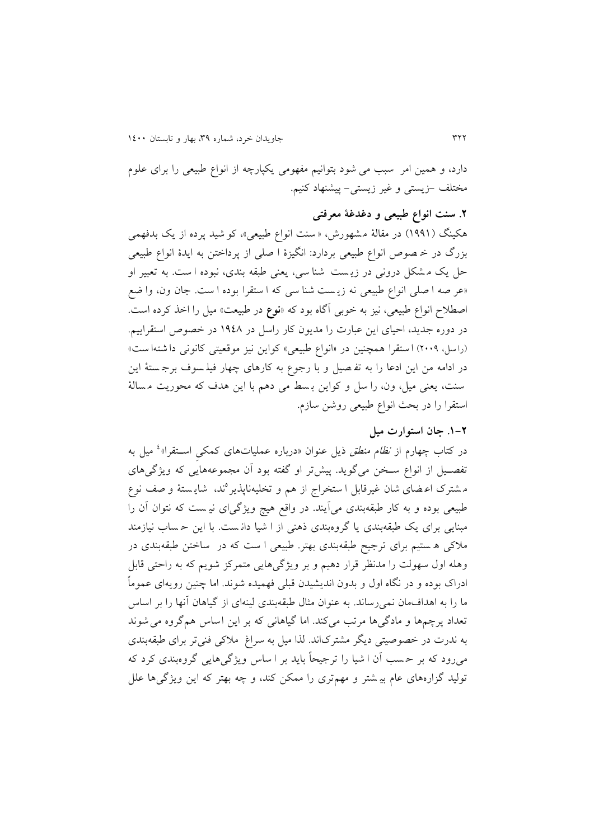دارد، و همین امر سبب می شود بتوانیم مفهومی يکپارچه از انواع طبیعی را برای علوم مختلف -زيستی و غیر زيستی- پیشنهاد کنیم.

**.2 سنت انواع طبیعی و دغدغۀ معرفتی** هکینگ (۱۹۹۱) در مقالۀ مشهورش، «سنت انواع طبیعی»، کو شید پرده از یک بدفهمی بزرگ در خ صوص انواع طبیعی بردارد: انگیزۀ ا صلی از پرداختن به ايدۀ انواع طبیعی حل يک م شکل درونی در زي ست شنا سی، يعنی طبقه بندی، نبوده ا ست . به تعبیر او »عر صه ا صلی انواع طبیعی نه زي ست شنا سی که ا ستقرا بوده ا ست . جان ون، وا ضع اصطالح انواع طبیعی، نیز به خوبی آگاه بود که »**نوع** در طبیعت« میل را اخذ کرده است. در دوره جديد، احیای اين عبارت را مديون کار راسل در 1333 در خصوص استقرايیم . )را سل، 5113( ا ستقرا همچنین در »انواع طبیعی« کواين نیز موقعیتی کانونی دا شته ا ست « در ادامه من اين ادعا را به تف صیل و با رجوع به کارهای چهار فیل سوف برج ستۀ اين سنت، يعنی میل، ون، را سل و کواين ب سط می دهم با اين هدف که محوريت م سالۀ استقرا را در بحث انواع طبیعی روشن سازم.

# **.0-2 جان استوارت میل**

در کتاب چهارم از *نظام منطق* ذیل عنوان «درباره عملیاتهای کمکیِ اســتقرا»<sup>،</sup> میل به تفصـيل از انواع سـخن میگويد. پیشتر او گفته بود آن مجموعههايی که ويژگیهای مشترک اعـضای شان غیرقابل ا ستخراج از هم و تخلیهناپذیر°ند، شایـستهٔ و صف نوع طبیعی بوده و به کار طبقهبندی میآيند. در واقع هیچ ويژگیای نی ست که نتوان آن را مبنايی برای يک طبقهبندی يا گروهبندی ذهنی از ا شیا دان ست . با اين ح ساب نیازمند مالکی ه ستیم برای ترجیح طبقهبندی بهتر. طبیعی ا ست که در ساختن طبقهبندی در وهله اول سهولت را مدنظر قرار دهیم و بر ويژگیهايی متمرکز شويم که به راحتی قابل ادراک بوده و در نگاه اول و بدون انديشیدن قبلی فهمیده شوند. اما چنین رويهای عموماً ما را به اهدافمان نمی رساند. به عنوان مثال طبقهبندی لینهای از گیاهان آنها را بر اساس تعداد پرچمها و مادگیها مرتب میکند. اما گیاهانی که بر اين اساس همگروه میشوند به ندرت در خصوصیتی ديگر مشترکاند. لذا میل به سراغ مالکی فنیتر برای طبقهبندی میرود که بر ح سب آن ا شیا را ترجیحاً بايد بر ا ساس ويژگیهايی گروهبندی کرد که تولید گزارههای عام بی شتر و مهمتری را ممکن کند، و چه بهتر که اين ويژگیها علل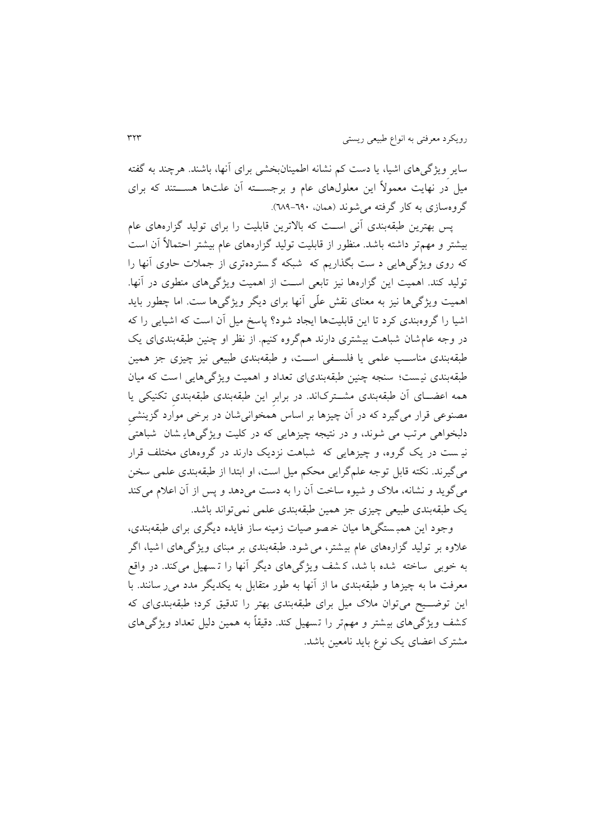سايرِويژگیهای اشیا، يا دست کم نشانه اطمینانبخشی برای آنها، باشند. هرچند به گفته میل در نهایت معمولاً این معلولهای عام و برجســته آن علتها هســتند که برای گروهسازی به کار گرفته می شوند (همان، ٦٩٠-٦٨٩).

پس بهترين طبقهبندی آنی است که بالاترين قابليت را برای توليد گزارههای عام بیشتر و مهمتر داشته باشد . منظور از قابلیت تولید گزارههای عام بیشتر احتماالً آن است که روی ويژگیهايی د ست بگذاريم که شبکه گ سترده تری از جمالت حاوی آنها را تولید کند. اهمیت اين گزارهها نیز تابعی اسات از اهمیت ويژگیهای منطوی در آنها. اهمیت ويژگیها نیز به معنای نقش علّی آنها برای ديگر ويژگیها ست . اما چطور بايد اشیا را گروهبندی کرد تا اين قابلیتها ايجاد شود؟ پاسخ میل آن است که اشیاي ی را که در وجه عامشان شباهت بیشتری دارند همگروه کنیم. از نظر او چنین طبقهبندیای يک طبقهبندی مناسـب علمی یا فلسـفی اسـت، و طبقهبندی طبیعی نیز چیزی جز همین طبقهبندی نی ست؛ سنجه چنین طبقهبندیای تعداد و اهمیت ويژگیهايی ا ست که میان همه اعضـای آن طبقهبندی مشـترکاند. در برابرِ اين طبقهبندی طبقهبندی تکنیکی يا مصنوعی قرار میگیرد که در آن چیزها بر اساس همخوانیشان در برخی موارد گزينشیِ دلبخواهی مرتب می شوند، و در نتیجه چیزهایی که در کلیت ویژگیهای شان شباهتی نی ست در يک گروه، و چیزهايی که شباهت نزديک دارند در گروههای مختلف قرار میگیرند. نکته قابل توجه علمگرايی محکم میل است، او ابتدا از طبقهبندی علمی سخن میگويد و نشانه، مالک و شیوه ساخت آن را به دست میدهد و پس از آن اعالم میکند يک طبقهبندی طبیعی چیزی جز همین طبقهبندی علمی نمیتواند باشد.

وجود اين همب ستگی ها میان خ صو صیات زمینه ساز فايده ديگری برای طبقهبندی، عالوه بر تولید گزارههای عام بی شتر، میشود . طبقهبندی بر مبنای ويژگیهای ا شیا، اگر به خوبی ساخته شده با شد، ک شف ويژگیهای ديگر آنها را ت سهیل میکند. در واقع معرفت ما به چیزها و طبقهبندی ما از آنها به طور متقابل به یکدیگر مدد می ر سانند. با این توضــیح میتوان ملاک میل برای طبقهبندی بهتر را تدقیق کرد؛ طبقهبندی|ی که کشف ويژگیهای بیشتر و مهمتر را تسهیل کند. دقیقاً به همین دلیل تعداد ويژگیهای مشترک اعضای يک نوع بايد نامعین باشد.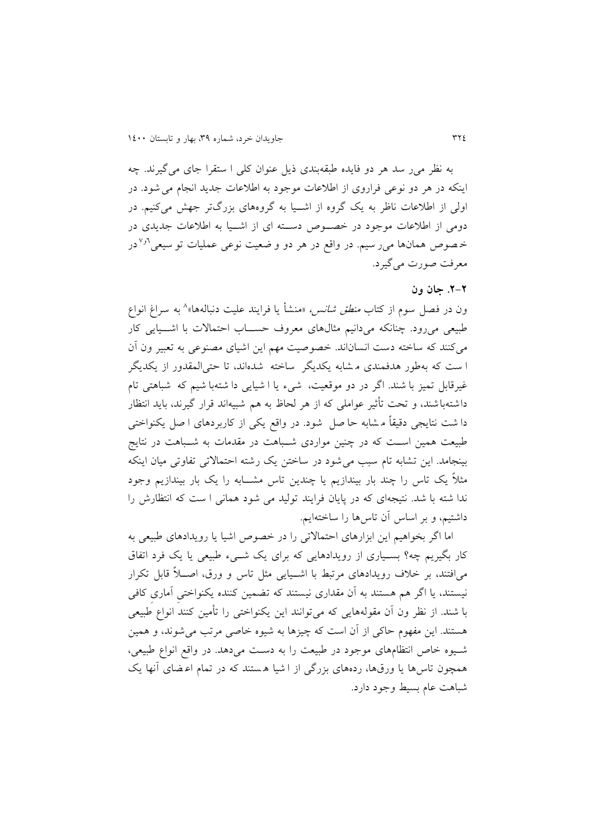به نظر میر سد هر دو فايده طبقهبندی ذيل عنوان کلی ا ستقرا جای میگیرند. چه اينکه در هر دو نوعی فراروی از اطالعات موجود به اطالعات جديد انجام میشود . در اولی از اطلاعات ناظر به يک گروه از اشـيا به گروههای بزرگتر جهش میکنیم. در دومی از اطلاعات موجود در خصوص دسته ای از اشـيا به اطلاعات جديدی در خصوص همانها می رسیم. در واقع در هر دو و ضعیت نوعی عملیات تو سیعی<sup>5ر۷</sup>در معرفت صورت میگیرد.

# **.2-2 جان ون**

ون در فصل سوم از کتاب *منطق شانس،* «منشأ یا فرایند علیت دنبالهها»^ به سراغ انواع طبیعی میرود. چنانکه میدانیم مثالهای معروف حســاب احتمالات با اشـــیایی کار میکنند که ساخته دست انسان اند. خصوصیت مهم اين اشیای مصنوعی به تعبیر ون آن ا ست که بهطور هدفمندی م شابه يکديگر ساخته شده اند، تا حتیالمقدور از يکديگر غیرقابل تمیز با شند. اگر در دو موقعیت، شیء یا ا شیایی دا شتهبا شیم که شباهتی تام داشته باشند، و تحت تأثیر عواملی که از هر لحاظ به هم شبیه اند قرار گیرند، بايد انتظار دا شت نتايجی دقیقاً م شابه حا صل شود . در واقع يکی از کاربردهای ا صل يکنواختی طبیعت همین اسـت که در چنین مواردی شـباهت در مقدمات به شـباهت در نتایج بینجامد. اين تشابه تام سبب میشود در ساختن يک رشته احتماالتی تفاوتی میان اينکه مثالً يک تاس را چند بار بیندازيم يا چندين تاس مشااابه را يک بار بیندازيم وجود ندا شته با شد. نتیجهای که در پایان فرایند تولید می شود همانی ا ست که انتظارش را داشتیم، و بر اساس آن تاسها را ساختهايم.

اما اگر بخواهیم اين ابزارهای احتماالتی را در خصوص اشیا يا رويدادهای طبیعی به کار بگیریم چه؟ بسـیاری از رویدادهایی که برای یک شــیء طبیعی یا یک فرد اتفاق میافتند، بر خلاف رویدادهای مرتبط با اشـیایی مثل تاس و ورق، اصـلاً قابل تکرار نیستند، يا اگر هم هستند به آن مقداری نیستند که تضمین کننده يکنواختیِ آماریِ کافی با شند . از نظر ون آن مقولههايی که میتوانند اين يکنواختی را تأمین کنند انواع طبیعی هستند . اين مفهوم حاکی از آن است که چیزها به شیوه خاصی مرتب میشوند، و همین شایوه خاص انتظامهای موجود در طبیعت را به دسات میدهد. در واقع انواع طبیعی، همچون تاسها يا ورقها، ردههای بزرگی از ا شيا هستند که در تمام اعهای آنها يک شباهت عام بسیط وجود دارد.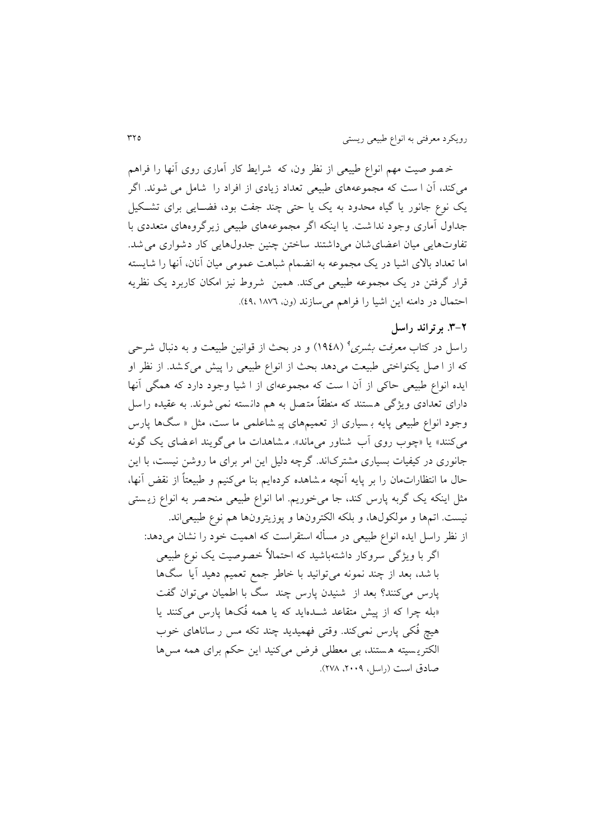خ صو صیت مهم انواع طییعی از نظر ون، که شرايط کار آماری روی آنها را فراهم میکند، آن ا ست که مجموعههای طبیعی تعداد زيادی از افراد را شامل می شوند . اگر يک نوع جانور يا گياه محدود به يک يا حتى چند جفت بود، فضـايى براى تشـكيل جداول آماری وجود ندا شت . يا اينکه اگر مجموعههای طبیعی زيرگروههای متعددی با تفاوتهايی میان اعضای شان میداشتند ساختن چنین جدولهايی کار دشواری می شد. اما تعداد باالی اشیا در يک مجموعه به انضمام شباهت عمومی میان آنان، آنها را شايسته قرار گرفتن در يک مجموعه طبیعی میکند. همین شروط نیز امکان کاربرد يک نظريه احتمال در دامنه اين اشيا را فراهم میسازند (ون، ١٨٧٦،١٨٧

#### **.9-2 برتراند راسل**

راسل در کتاب *معرفت بشری<sup>9</sup> (*۱۹٤۸) و در بحث از قوانین طبیعت و به دنبال شرحی که از ا صل يکنواختی طبیعت میدهد بحث از انواع طبیعی را پیش میک شد . از نظر او ايده انواع طبیعی حاکی از آن ا ست که مجموعهای از ا شیا وجود دارد که همگی آنها دارای تعدادی ويژگی هستند که منطقاً متصل به هم دانسته نمی شوند. به عقیده را سل وجود انواع طبیعی پايه ب سیاری از تعمیمهای پی شاعلمی ما ست، مثل » سگ ها پارس میکنند» يا «چوب روی آب شناور میماند». مشاهدات ما میگويند اعهای يک گونه جانوری در کیفیات بسیاری مشترکاند. گرچه دلیل اين امر برای ما روشن نیست، با اين حال ما انتظاراتمان را بر پايه آنچه م شاهده کردهايم بنا میکنیم و طبیعتاً از نقض آنها، مثل اينکه يک گربه پارس کند، جا میخوريم. اما انواع طبیعی منح صر به انواع زي ستی نیست. اتمها و مولکولها، و بلکه الکترونها و پوزيترونها هم نوع طبیعیاند. از نظر راسل ايده انواع طبیعی در مسأله استقراست که اهمیت خود را نشان میدهد: اگر با ويژگی سروکار داشته باشید که احتماالً خصوصیت يک نوع طبیعی

با شد، بعد از چند نمونه میتوانید با خاطر جمع تعمیم دهید آيا سگ ها پارس میکنند؟ بعد از شنیدن پارس چند سگ با اطمیان میتوان گفت »بله چرا که از پیش متقاعد شادهايد که يا همه فُکها پارس میکنند يا هیچ فُکی پارس نمیکند. وقتی فهمیديد چند تکه مس ر ساناهای خوب الکتري سیته ه ستند، بی معطلی فرض میکنید اين حکم برای همه مسها صادق است (راسل، ۲۰۰۹، ۲۷۸).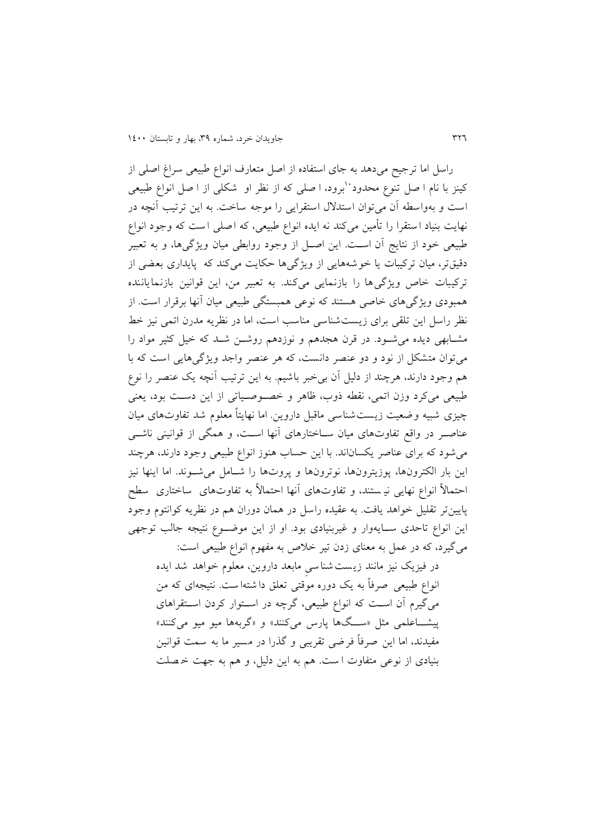راسل اما ترجیح میدهد به جای استفاده از اصل متعارف انواع طبیعی سراغ اصلی از کینز با نام ا صل تنوع محدود 'برود، ا صلی که از نظر او شکلی از ا صل انواع طبیعی است و بهواسطه آن میتوان استدالل استقرايی را موجه ساخت . به اين ترتیب آنچه در نهايت بنیاد ا ستقرا را تأمین میکند نه ايده انواع طبیعی، که اصلی ا ست که وجود انواع طبیعی خود از نتايج آن اسات. اين اصال از وجود روابطی میان ويژگیها، و به تعبیر دقیقتر، میان ترکیبات يا خوشه هايی از ويژگیها حکايت میکند که پايداری بعضی از ترکیبات خاص ويژگیها را بازنمايی میکند. به تعبير من، اين قوانين بازنماياننده همبودی ويژگیهای خاصی هستند که نوعی همبستگی طبیعی میان آنها برقرار است . از نظر راسل اين تلقی برای زيست شناسی مناسب است، اما در نظريه مدرن اتمی نیز خط مشـابهی ديده می شـود. در قرن هجدهم و نوزدهم روشـن شـد که خیل کثیر مواد را میتوان متشکل از نود و دو عنصر دانست، که هر عنصر واجد ويژگیهايی است که با هم وجود دارند، هرچند از دلیل آن بیخبر باشیم . به اين ترتیب آنچه يک عنصر را نوع طبیعی میکرد وزن اتمی، نقطه ذوب، ظاهر و خصاوصایاتی از اين دسات بود، يعنی چیزی شبیه وضعیت زيست شناسی ماقبل داروين. اما نهايتاً معلوم شد تفاوتهای میان عناصـر در واقع تفاوتهای میان سـاختارهای آنها اسـت، و همگی از قوانینی ناشــی میشود که برای عناصر يکساناند. با اين حساب هنوز انواع طبیعی وجود دارند، هرچند اين بار الکترونها، پوزيترونها، نوترونها و پروتها را شامل می شوند. اما اينها نيز احتمالاً انواع نهایی نیـ ستند، و تفاوتهای آنها احتمالاً به تفاوتهای ساختاری سطح پايینتر تقلیل خواهد يافت. به عقیده راسل در همان دوران هم در نظريه کوانتوم وجود اين انواع تاحدی سـايهوار و غیربنیادی بود. او از اين موضـوع نتيجه جالب توجهی میگیرد، که در عمل به معنای زدن تیر خالص به مفهوم انواع طبیعی است:

در فیزيک نیز مانند زيست شناسیِ مابعد داروين، معلوم خواهد شد ايده انواع طبیعی صرفاً به يک دوره موقتی تعلق دا شته ا ست . نتیجهای که من میگیرم آن اسات که انواع طبیعی، گرچه در اساتوار کردن اساتقراهای پیشــاعلمی مثل «ســگها پارس میکنند» و «گربهها میو میو میکنند» مفیدند، اما اين صرفاً فرضی تقريبی و گذرا در مسیر ما به سمت قوانین بنیادی از نوعی متفاوت ا ست . هم به اين دلیل، و هم به جهت خ صلت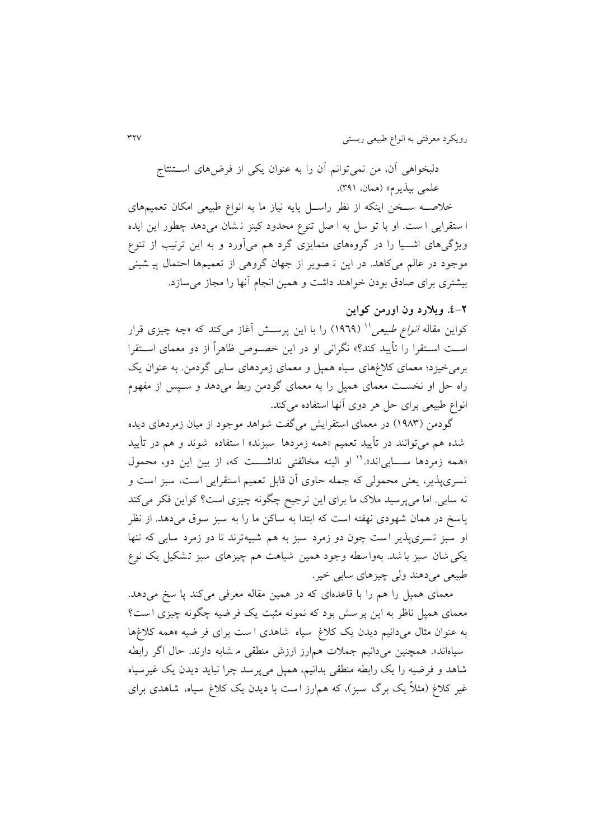دلبخواهی آن، من نمیتوانم آن را به عنوان يکی از فرضهای اسااتنتاج علمی بپذيرم» (همان، ۳۹۱).

خلاصــه ســخن اينکه از نظر راســل پايه نياز ما به انواع طبيعی امکان تعمیمهای ا ستقرايی ا ست . او با تو سل به ا صل تنوع محدود کینز ن شان میدهد چطور اين ايده ويژگیهای اشـيا را در گروههای متمايزی گرد هم میآورد و به اين ترتيب از تنوع موجود در عالم میکاهد. در اين ت صوير از جهان گروهی از تعمیمها احتمال پی شینی بیشتری برای صادق بودن خواهند داشت و همین انجام آنها را مجاز میسازد.

# **.0-2 ویالرد ون اورمن کواین**

کواین مقاله *انواع طبیعی*'' (۱۹۶۹) را با این پرســش أغاز میکند که «چه چیزی قرار اسات اساتقرا را تأيید کند؟« نگرانی او در اين خصاوص ظاهراً از دو معمای اساتقرا برمیخیزد؛ معمای کالغهای سیاه همپل و معمای زمردهای سابی گودمن. به عنوان يک راه حل او نخسات معمای همپل را به معمای گودمن ربط میدهد و ساپس از مفهوم انواع طبیعی برای حل هر دوی آنها استفاده میکند.

گودمن (١٩٨٣) در معمای استقرايش میگفت شواهد موجود از ميان زمردهای ديده شده هم میتوانند در تأيید تعمیم »همه زمردها سبزند « ا ستفاده شوند و هم در تأيید همه زمردها ســــابی|ند».'' او البته مخالفتی نداشــــت که، از بین این دو، محمول تسری پذير، يعنی محمولی که جمله حاوی آن قابل تعمیم استقرايی است، سبز است و نه سابی. اما میپرسید مالک ما برای اين ترجیح چگونه چیزی است؟ کواين فکر میکند پاسخ در همان شهودی نهفته است که ابتدا به ساکن ما را به سبز سوق میدهد. از نظر او سبز ت سری پذير ا ست چون دو زمرد سبز به هم شبیه ترند تا دو زمرد سابی که تنها يکی شان سبز با شد. بهوا سطه وجود همین شباهت هم چیزهای سبز تشکیل یک نوع طبیعی میدهند ولی چیزهای سابی خیر.

معمای همپل را هم را با قاعدهای که در همین مقاله معرفی میکند یا سخ میدهد. معمای همپل ناظر به اين پر سش بود که نمونه مثبت يک فر ضیه چگونه چیزی ا ست؟ به عنوان مثال میدانیم ديدن يک کالغ سیاه شاهدی ا ست برای فر ضیه »همه کالغها سیاهاند». همچنین میدانیم جملات همارز ارزش منطقی م شابه دارند. حال اگر رابطه شاهد و فرضیه را يک رابطه منطقی بدانیم، همپل میپرسد چرا نبايد ديدن يک غیرسیاه غیر کلاغ (مثلاً يک برگ سبز)، که هم|رز است با ديدن يک کلاغ سياه، شاهدی برای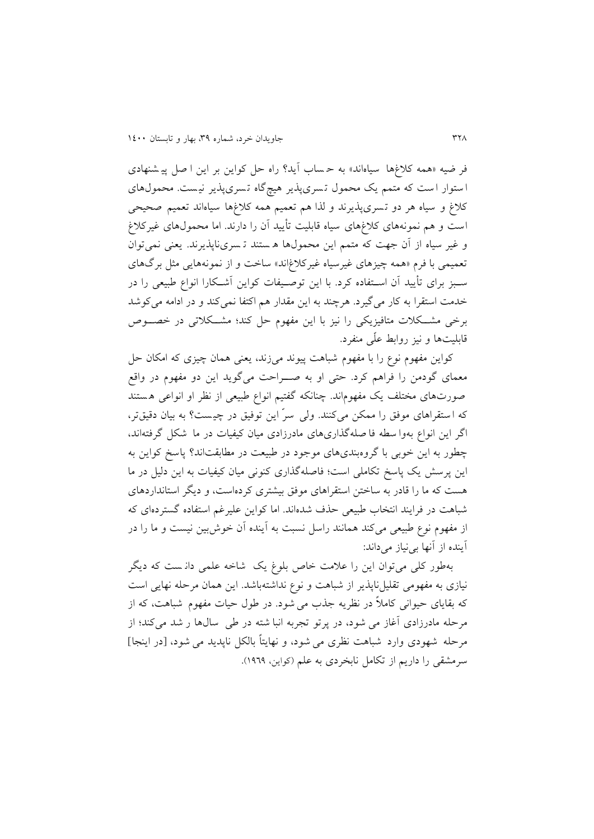فر ضیه »همه کالغها سیاه اند« به ح ساب آيد؟ راه حل کواين بر اين ا صل پی شنهادی ا ستوار ا ست که متمم يک محمول ت سری پذير هیچگاه ت سری پذير نی ست . محمولهای کلاغ و سیاه هر دو تسری پذیرند و لذا هم تعمیم همه کلاغها سیاهاند تعمیم صحیحی است و هم نمونههای کالغهای سیاه قابلیت تأيید آن را دارند. اما محمولهای غیرکالغ و غیر سیاه از آن جهت که متمم اين محمولها ه ستند ت سری ناپذيرند. يعنی نمیتوان تعمیمی با فرم «همه چیزهای غیرسیاه غیرکلاغاند» ساخت و از نمونههایی مثل برگهای سابز برای تأيید آن اساتفاده کرد. با اين توصایفات کواين آشاکارا انواع طبیعی را در خدمت استقرا به کار می گیرد. هرچند به این مقدار هم اکتفا نمی کند و در ادامه میکوشد برخی مشکلات متافیزیکی را نیز با این مفهوم حل کند؛ مشکلاتی در خصـوص قابلیتها و نیز روابط علّی منفرد.

کواين مفهوم نوع را با مفهوم شباهت پیوند میزند، يعنی همان چیزی که امکان حل معمای گودمن را فراهم کرد. حتی او به صـراحت میگوید این دو مفهوم در واقع صورتهای مختلف يک مفهوماند. چنانکه گفتيم انواع طبيعی از نظر او انواعی هستند که ا ستقراهای موفق را ممکن میکنند. ولی سرّ اين توفیق در چی ست؟ به بیان دقیقتر، اگر اين انواع بهوا سطه فا صله گذاریهای مادرزادی میان کیفیات در ما شکل گرفتهاند، چطور به اين خوبی با گروهبندیهای موجود در طبیعت در مطابقتاند؟ پاسخ کواين به اين پرسش يک پاسخ تکاملی است؛ فاصله گذاری کنونی میان کیفیات به اين دلیل در ما هست که ما را قادر به ساختن استقراهای موفق بیشتری کردهاست، و ديگر استانداردهای شباهت در فرايند انتخاب طبیعی حذف شدهاند. اما کواين علیرغم استفاده گستردهای که از مفهوم نوع طبیعی میکند همانند راسل نسبت به آينده آن خوشبین نیست و ما را در آينده از آنها بینیاز میداند:

بهطور کلی میتوان اين را عالمت خاص بلوغ يک شاخه علمی دان ست که ديگر نیازی به مفهومی تقلیلناپذير از شباهت و نوع نداشتهباشد. اين همان مرحله نهايی است که بقايای حیوانی کامالً در نظريه جذب میشود . در طول حیات مفهوم شباهت، که از مرحله مادرزادی آغاز می شود، در پرتو تجربه انبا شته در طی سال ها ر شد میکند؛ از مرحله شهودی وارد شباهت نظری می شود، و نهايتاً بالکل ناپديد می شود، ]در اينجا[ سرمشقی را داريم از تکامل نابخردی به علم )کواين، 1333(.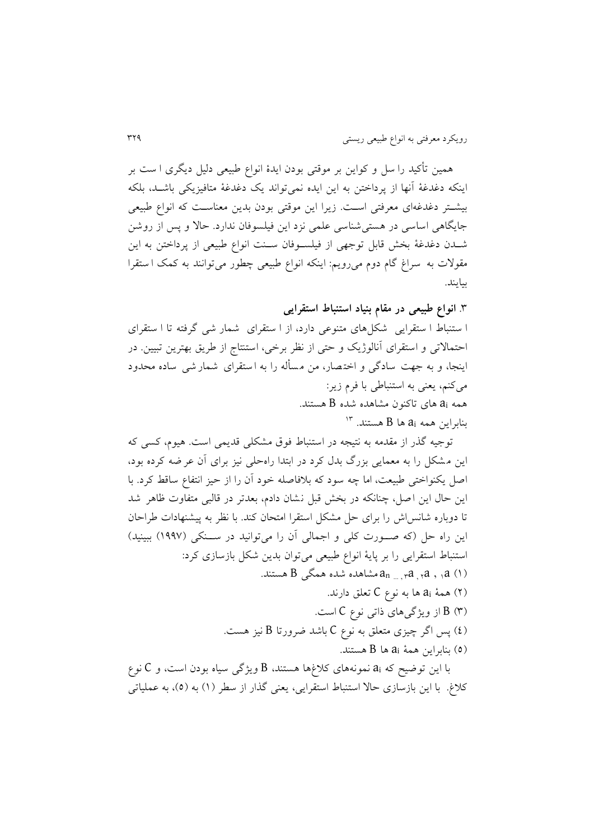همین تأکید را سل و کواين بر موقتی بودن ايدۀ انواع طبیعی دلیل ديگری ا س ت بر اينکه دغدغۀ آنها از پرداختن به اين ايده نمیتواند يک دغدغۀ متافیزيکی باشاد، بلکه بیشاتر دغدغهای معرفتی اسات. زيرا اين موقتی بودن بدين معناسات که انواع طبیعی جايگاهی اساسی در هستی شناسی علمی نزد اين فیلسوفان ندارد. حاال و پس از روشن شادن دغدغۀ بخش قابل توجهی از فیلساوفان سانت انواع طبیعی از پرداختن به اين مقوالت به سراغ گام دوم میرويم: اينکه انواع طبیعی چطور میتوانند به کمک ا ست قرا بیايند.

.4 **انواع طبیعی در مقام بنیاد استنباط استقرایی** ا ستنباط ا ستقرايی شکل های متنوعی دارد، از ا ستقرای شمار شی گرفته تا ا ست قرای احتماالتی و استقرای آنالوژيک و حتی از نظر برخی، استنتاج از طريق بهترين تبیین. در اينجا، و به جهت سادگی و اخت صار، من م س أله را به ا ستقرای شمار شی ساده محدود میکنم، يعنی به استنباطی با فرم زير: همه a<sup>i</sup> های تاکنون مشاهده شده B هستند.  $^{\prime\prime}$  بنابراين همه a $_{\rm i}$  ها B هستند.  $^{\prime\prime}$ 

توجیه گذر از مقدمه به نتیجه در استنباط فوق مشکلی قديمی است . هیوم، کسی که اين م شکل را به معمايی بزرگ بدل کرد در ابتدا راهحلی نیز برای آن عر ضه کرده بود، اصل يکنواختی طبیعت، اما چه سود که بالفاصله خود آن را از حیز انتفاع ساقط کرد. با اين حال اين اصل، چنانکه در بخش قبل نشان دادم، بعدتر در قالبی متفاوت ظاهر شد تا دوباره شانس اش را برای حل مشکل استقرا امتحان کند. با نظر به پیشنهادات طراحان این راه حل (که صورت کلی و اجمالی آن را میتوانید در سنکی (۱۹۹۷) ببینید) استنباط استقرايی را بر پايۀ انواع طبیعی میتوان بدين شکل بازسازی کرد: مشاهده شده همگی B هستند.  $a_{\rm n_{\rm \;... \, ,\, r}}$ a مستند. $a_{\rm \; ,\; ,a}$  (۱)

- )5( همۀ a<sup>i</sup> ها به نوع C تعلق دارند. )4( B از ويژگیهای ذاتی نوع C است.
- )3( پس اگر چیزی متعلق به نوع C باشد ضرورتا B نیز هست.
	- )3( بنابراين همۀ a<sup>i</sup> ها B هستند.

با اين توضیح که a<sup>i</sup> نمونههای کالغها هستند، B ويژگی سیاه بودن است، و C نوع کلاغ. با اين بازسازی حالا استنباط استقرايی، يعنی گذار از سطر (١) به (٥)، به عملياتی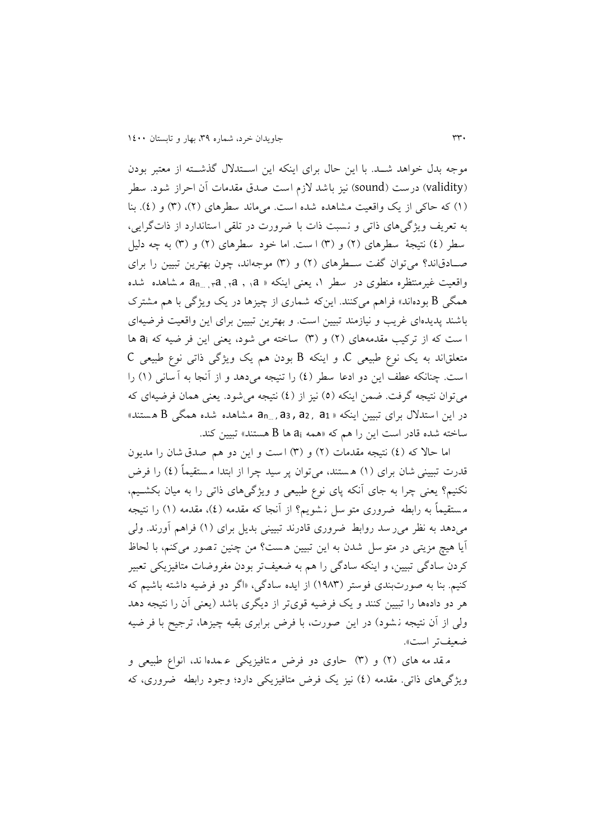موجه بدل خواهد شــد. با اين حال برای اينکه اين اســتدلال گذشــته از معتبر بودن )validity )درست )sound )نیز باشد الزم است صدق مقدمات آن احراز شود . سطر )1( که حاکی از يک واقعیت مشاهده شده است . میماند سطرهای )5(، )4( و )3(. بنا به تعريف ويژگیهای ذاتی و نسبت ذات با ضرورت در تلقی استاندارد از ذاتگرايی، سطر (٤) نتیجۀ سطرهای (٢) و (٣) ا ست. اما خود سطرهای (٢) و (٣) به چه دلیل صادقاند؟ می توان گفت سـطرهای (۲) و (۳) موجهاند، چون بهترين تبيين را برای واقعیت غیرمنتظره منطوی در سطر ۱، یعنی اینکه « a<sub>n… , r</sub>a , <sub>1</sub>a , ,a م شاهده شده همگی B بودهاند» فراهم میکنند. اينکه شماری از چيزها در يک ويژگی با هم مشترک باشند پديدهای غريب و نیازمند تبیین است . و بهترين تبیین برای اين واقعیت فرضیه ای ا ست که از ترکیب مقدمههای (۲) و (۳) ساخته می شود، يعنی اين فر ضيه که ai ها متعلقاند به يک نوع طبیعی C، و اينکه B بودن هم يک ويژگی ذاتی نوع طبیعی C است. چنانکه عطف اين دو ادعا سطر (٤) را تنيجه ميدهد و از آنجا به آ سانی (١) را میتوان نتیجه گرفت. ضمن اينکه (٥) نيز از (٤) نتيجه میشود. يعنی همان فرضيهای که در اين ا ستدالل برای تبیین اينکه » 1a , 2a , <sup>3</sup>a , ...a<sup>n</sup> م شاهده شده همگی B ه ستند « ساخته شده قادر است اين را هم كه «همه ai ها B هستند» تبيين كند.

اما حالا که (٤) نتيجه مقدمات (٢) و (٣) است و اين دو هم صدق شان را مديون قدرت تبیینی شان برای (۱) هستند، می توان پر سید چرا از ابتدا مستقیماً (٤) را فرض نکنیم؟ يعنی چرا به جای آنکه پای نوع طبیعی و ويژگیهای ذاتی را به میان بکشایم، مستقیماً به رابطه ضروری متو سل نشویم؟ از آنجا که مقدمه (٤)، مقدمه (١) را نتیجه میدهد به نظر میر سد روابط ضروری قادرند تبیینی بديل برای )1( فراهم آورند. ولی آيا هیچ مزيتی در متو سل شدن به اين تبیین ه ست؟ من چنین ت صور میکنم، با لحاظ کردن سادگی تبیین، و اينکه سادگی را هم به ضعیفتر بودن مفروضات متافیزيکی تعبیر کنیم. بنا به صورت بندی فوستر )1334( از ايده سادگی، »اگر دو فرضیه داشته باشیم که هر دو دادهها را تبیین کنند و يک فرضیه قویتر از ديگری باشد )يعنی آن را نتیجه دهد ولی از آن نتیجه ن شود) در اين صورت، با فرض برابری بقیه چیزها، ترجیح با فر ضیه ضعیفتر است«.

م قد مه های (۲) و (۳) حاوی دو فرض متافیزیکی ع مده اند، انواع طبیعی و ويژگی های ذاتی. مقدمه (٤) نیز يک فرض متافيزيکی دارد؛ وجود رابطه ضروری، که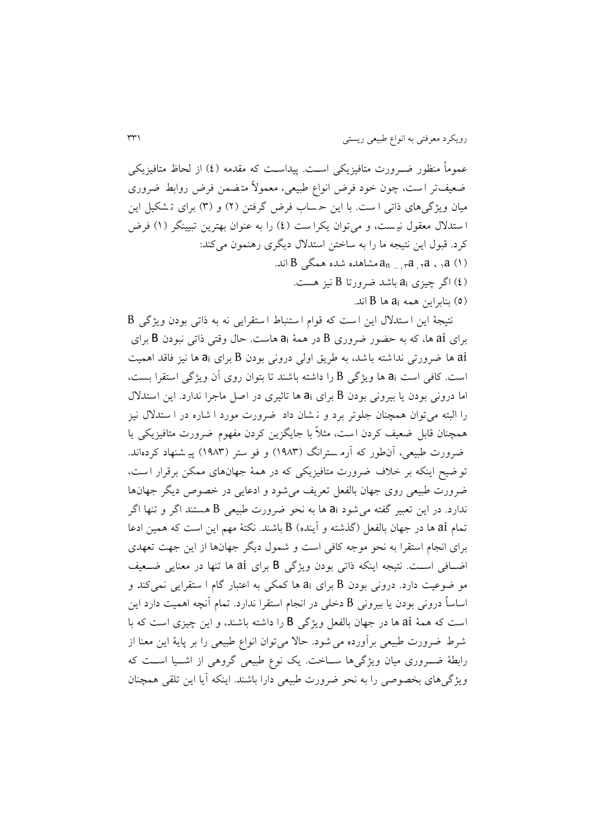عموماً منظور ضـرورت متافيزيکی اسـت. پيداسـت که مقدمه (٤) از لحاظ متافيزيکی ضعیفتر است، چون خود فرض انواع طبیعی، معمولاً متضمن فرض روابط ضروری میان ویژگیهای ذاتی ا ست. با این حساب فرض گرفتن (۲) و (۳) برای تشکیل این ا ستدلال معقول نیست، و میتوان يکرا ست (٤) را به عنوان بهترين تبيينگر (١) فرض کرد. قبول اين نتیجه ما را به ساختن استدالل ديگری رهنمون میکند: نده همگی B اند.  $a_{n_{\rm \, ... \, ,\, r}}$ مشاهده شده همگی  $\,$ )3( اگر چیزی a<sup>i</sup> باشد ضرورتا B نیز هست.  $B$  بنابراين همه  $a_i$  ها  $B$  اند.

نتیجۀ اين ا ستدالل اين ا ست که قوام ا ستنباط ا ستقرايی نه به ذاتی بودن ويژگی B برای ai ها، که به حضور ضروری B در همۀ a<sup>i</sup> هاست . حال وقتی ذاتی نبودن B برای ai ها ضرورتی نداشته باشد، به طريق اولی درونی بودن B برای a<sup>i</sup> ها نیز فاقد اهمیت است . کافی است a<sup>i</sup> ها ويژگی B را داشته باشند تا بتوان روی آن ويژگی استقرا بس ت، اما درونی بودن يا بیرونی بودن B برای a<sup>i</sup> ها تاثیری در اصل ماجرا ندارد. اين استدالل را البته میتوان همچنان جلوتر برد و ن شان داد ضرورت مورد ا شاره در ا ستدالل نیز همچنان قابل ضعیف کردن است، مثالً با جايگزين کردن مفهوم ضرورت متافیزيکی يا ضرورت طبیعی، آنطور که آرم سترانگ (۱۹۸۳) و فو ستر (۱۹۸۳) پیر شنهاد کردهاند. تو ضیح اينکه بر خالف ضرورت متافیزيکی که در همۀ جهانهای ممکن برقرار ا ست ، ضرورت طبیعی روی جهان بالفعل تعريف میشود و ادعايی در خصوص ديگر جهانها ندارد. در اين تعبیر گفته میشود a<sup>i</sup> ها به نحو ضرورت طبیعی B هستند اگر و تنها اگر تمام ai ها در جهان بالفعل )گذشته و آينده( B باشند. نکتۀ مهم اين است که همین ادعا برای انجام استقرا به نحو موجه کافی است و شمول ديگر جهانها از اين جهت تعهدی اضافی است. نتیجه اینکه ذاتی بودن ویژگی B برای ai ها تنها در معنایی ضعیف مو ضوعیت دارد. درونی بودن B برای a<sup>i</sup> ها کمکی به اعتبار گام ا ستقرايی نمیکند و اساساً درونی بودن يا بیرونی B دخلی در انجام استقرا ندارد. تمام آنچه اهمیت دارد اين است که همۀ ai ها در جهان بالفعل ويژگی B را داشته باشند، و اين چیزی است که با شرط ضرورت طبیعی برآورده می شود. حالا می توان انواع طبیعی را بر پایۀ این معنا از رابطۀ ضـــروری میان ويژگیها ســـاخت. يک نوع طبيعی گروهی از اشـــيا اســت که ويژگیهای بخصوصی را به نحو ضرورت طبیعی دارا باشند. اينکه آيا اين تلقی همچنان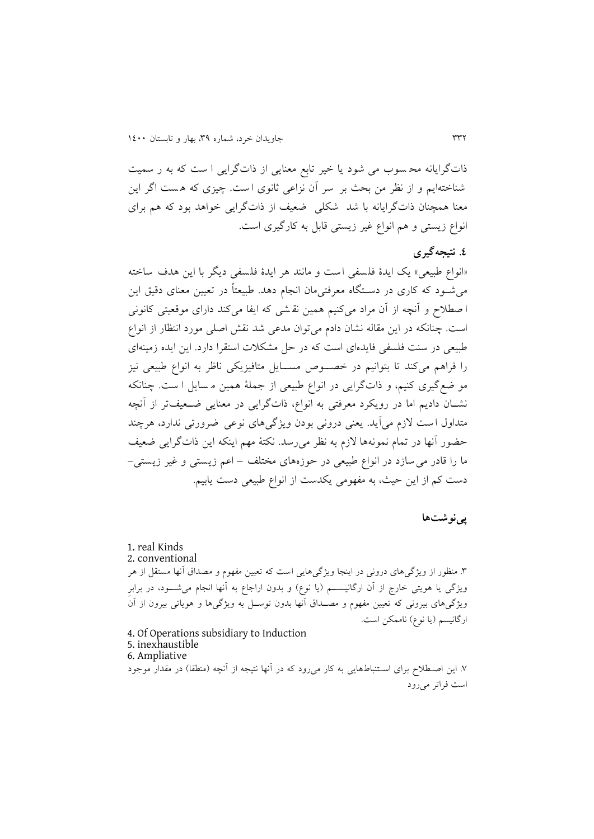ذاتگرايانه مح سوب می شود يا خیر تابع معنايی از ذاتگرايی ا ست که به ر سمیت شناخته ايم و از نظر من بحث بر سر آن نزاعی ثانوی ا ست . چیزی که ه ست اگر اين معنا همچنان ذاتگرايانه با شد شکلی ضعیف از ذاتگرايی خواهد بود که هم برای انواع زيستی و هم انواع غیر زيستی قابل به کارگیری است.

## **.0 نتیجهگیری**

«انواع طبيعي» يک ايدۀ فلسفي است و مانند هر ايدۀ فلسفي ديگر با اين هدف ساخته می شود که کاری در دسـتگاه معرفتی $\omega$ ان انجام دهد. طبیعتاً در تعیین معنای دقیق این ا صطالح و آنچه از آن مراد میکنیم همین نق شی که ايفا میکند دارای موقعیتی کانونی است. چنانکه در اين مقاله نشان دادم میتوان مدعی شد نقش اصلی مورد انتظار از انواع طبیعی در سنت فلسفی فايدهای است که در حل مشکالت استقرا دارد. اين ايده زمینهای را فراهم میکند تا بتوانیم در خصـوص مســایل متافیزیکی ناظر به انواع طبیعی نیز مو ضع گیری کنیم، و ذاتگرايی در انواع طبیعی از جملۀ همین م سايل ا ست . چنانکه نشـان داديم اما در رويکرد معرفتی به انواع، ذاتگرايی در معنايی ضـحیفتر از آنچه متداول ا ست الزم میآيد. يعنی درونی بودن ويژگیهای نوعی ضرورتی ندارد، هرچند حضور آنها در تمام نمونهها الزم به نظر میرسد . نکتۀ مهم اينکه اين ذاتگرايی ضعی ف ما را قادر میسازد در انواع طبیعی در حوزههای مختلف – اعم زيستی و غیر زيستی - دست کم از اين حیث، به مفهومی يکدست از انواع طبیعی دست يابیم.

## **پینوشتها**

1. real Kinds 2. conventional .4 منظور از ويژگیهای درونی در اينجا ويژگیهايی است که تعیین مفهوم و مصداق آنها مستقل از هر ويژگی يا هويتی خارج از آن ارگانيســـم (يا نوع) و بدون اراجاع به آنها انجام میشــــود، در برابرِ ويژگیهای بیرونی که تعیین مفهوم و مصــداق آنها بدون توســل به ويژگیها و هوياتی بیرون از آنَ ارگانیسم (يا نوع) ناممکن است. 4. Of Operations subsidiary to Induction 5. inexhaustible 6. Ampliative

.3 اين اصاطالح برای اساتنباط هايی به کار میرود که در آنها نتیجه از آنچه )منطقا( در مقدار موجود است فراتر میرود